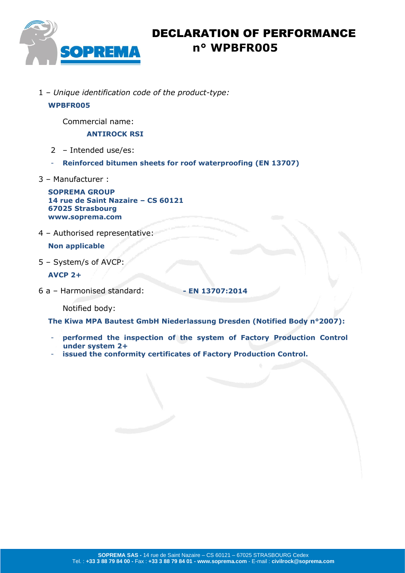

# DECLARATION OF PERFORMANCE  **n° WPBFR005**

1 – *Unique identification code of the product-type:*

#### **WPBFR005**

Commercial name:

#### **ANTIROCK RSI**

- 2 Intended use/es:
- **Reinforced bitumen sheets for roof waterproofing (EN 13707)**
- 3 Manufacturer :

**SOPREMA GROUP 14 rue de Saint Nazaire – CS 60121 67025 Strasbourg www.soprema.com**

4 – Authorised representative:

### **Non applicable**

5 – System/s of AVCP:

### **AVCP 2+**

6 a – Harmonised standard: **- EN 13707:2014**

Notified body:

**The Kiwa MPA Bautest GmbH Niederlassung Dresden (Notified Body n°2007):**

- performed the inspection of the system of Factory Production Control **under system 2+**
- **issued the conformity certificates of Factory Production Control.**